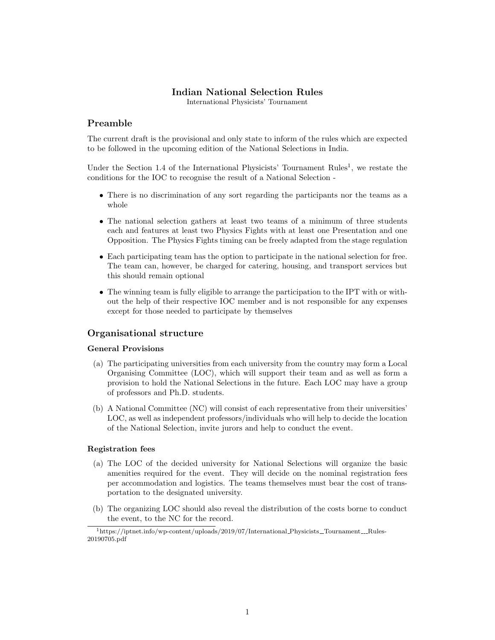# Indian National Selection Rules

International Physicists' Tournament

# Preamble

The current draft is the provisional and only state to inform of the rules which are expected to be followed in the upcoming edition of the National Selections in India.

Under the Section 1.4 of the International Physicists' Tournament Rules<sup>1</sup>, we restate the conditions for the IOC to recognise the result of a National Selection -

- There is no discrimination of any sort regarding the participants nor the teams as a whole
- The national selection gathers at least two teams of a minimum of three students each and features at least two Physics Fights with at least one Presentation and one Opposition. The Physics Fights timing can be freely adapted from the stage regulation
- Each participating team has the option to participate in the national selection for free. The team can, however, be charged for catering, housing, and transport services but this should remain optional
- The winning team is fully eligible to arrange the participation to the IPT with or without the help of their respective IOC member and is not responsible for any expenses except for those needed to participate by themselves

# Organisational structure

## General Provisions

- (a) The participating universities from each university from the country may form a Local Organising Committee (LOC), which will support their team and as well as form a provision to hold the National Selections in the future. Each LOC may have a group of professors and Ph.D. students.
- (b) A National Committee (NC) will consist of each representative from their universities' LOC, as well as independent professors/individuals who will help to decide the location of the National Selection, invite jurors and help to conduct the event.

## Registration fees

- (a) The LOC of the decided university for National Selections will organize the basic amenities required for the event. They will decide on the nominal registration fees per accommodation and logistics. The teams themselves must bear the cost of transportation to the designated university.
- (b) The organizing LOC should also reveal the distribution of the costs borne to conduct the event, to the NC for the record.

 $1$ https://iptnet.info/wp-content/uploads/2019/07/International Physicists Tournament \_\_ Rules-20190705.pdf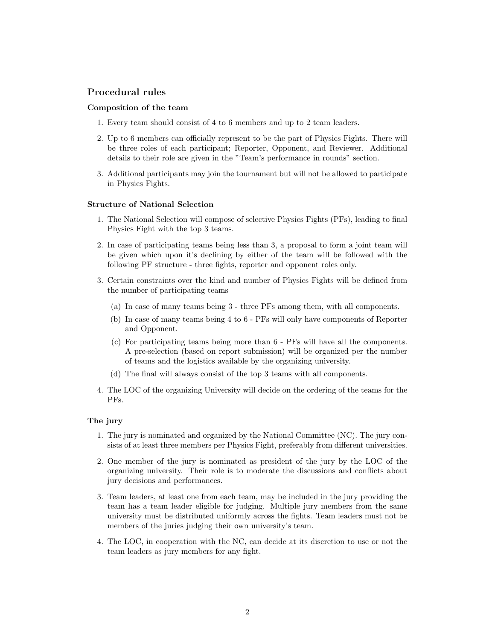# Procedural rules

### Composition of the team

- 1. Every team should consist of 4 to 6 members and up to 2 team leaders.
- 2. Up to 6 members can officially represent to be the part of Physics Fights. There will be three roles of each participant; Reporter, Opponent, and Reviewer. Additional details to their role are given in the "Team's performance in rounds" section.
- 3. Additional participants may join the tournament but will not be allowed to participate in Physics Fights.

### Structure of National Selection

- 1. The National Selection will compose of selective Physics Fights (PFs), leading to final Physics Fight with the top 3 teams.
- 2. In case of participating teams being less than 3, a proposal to form a joint team will be given which upon it's declining by either of the team will be followed with the following PF structure - three fights, reporter and opponent roles only.
- 3. Certain constraints over the kind and number of Physics Fights will be defined from the number of participating teams
	- (a) In case of many teams being 3 three PFs among them, with all components.
	- (b) In case of many teams being 4 to 6 PFs will only have components of Reporter and Opponent.
	- (c) For participating teams being more than 6 PFs will have all the components. A pre-selection (based on report submission) will be organized per the number of teams and the logistics available by the organizing university.
	- (d) The final will always consist of the top 3 teams with all components.
- 4. The LOC of the organizing University will decide on the ordering of the teams for the PFs.

#### The jury

- 1. The jury is nominated and organized by the National Committee (NC). The jury consists of at least three members per Physics Fight, preferably from different universities.
- 2. One member of the jury is nominated as president of the jury by the LOC of the organizing university. Their role is to moderate the discussions and conflicts about jury decisions and performances.
- 3. Team leaders, at least one from each team, may be included in the jury providing the team has a team leader eligible for judging. Multiple jury members from the same university must be distributed uniformly across the fights. Team leaders must not be members of the juries judging their own university's team.
- 4. The LOC, in cooperation with the NC, can decide at its discretion to use or not the team leaders as jury members for any fight.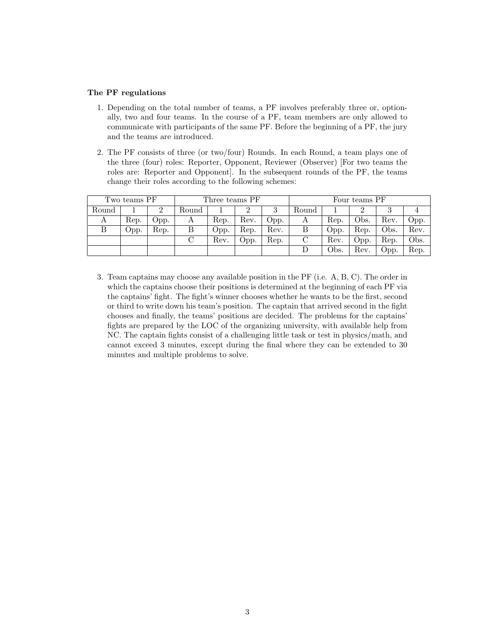## The PF regulations

- 1. Depending on the total number of teams, a PF involves preferably three or, optionally, two and four teams. In the course of a PF, team members are only allowed to communicate with participants of the same PF. Before the beginning of a PF, the jury and the teams are introduced.
- 2. The PF consists of three (or two/four) Rounds. In each Round, a team plays one of the three (four) roles: Reporter, Opponent, Reviewer (Observer) [For two teams the roles are: Reporter and Opponent. In the subsequent rounds of the PF, the teams change their roles according to the following schemes:

| Two teams PF |      |      | Three teams PF |      |      |      | Four teams PF |      |      |      |      |
|--------------|------|------|----------------|------|------|------|---------------|------|------|------|------|
| Round        |      |      | Round          |      |      |      | Round         |      |      |      |      |
| А            | Rep. | Opp. | А              | Rep. | Rev. | Opp. | А             | Rep. | Obs. | Rev. | Opp. |
| B            | Opp. | Rep. | В              | Opp. | Rep. | Rev. |               | Opp. | Rep. | Obs. | Rev. |
|              |      |      |                | Rev. | Opp. | Rep. | С             | Rev. | Opp. | Rep. | Obs. |
|              |      |      |                |      |      |      |               | Obs. | Rev. | Opp. | Rep. |

3. Team captains may choose any available position in the PF (i.e. A, B, C). The order in which the captains choose their positions is determined at the beginning of each PF via the captains' fight. The fight's winner chooses whether he wants to be the first, second or third to write down his team's position. The captain that arrived second in the fight chooses and finally, the teams' positions are decided. The problems for the captains' fights are prepared by the LOC of the organizing university, with available help from NC. The captain fights consist of a challenging little task or test in physics/math, and cannot exceed 3 minutes, except during the final where they can be extended to 30 minutes and multiple problems to solve.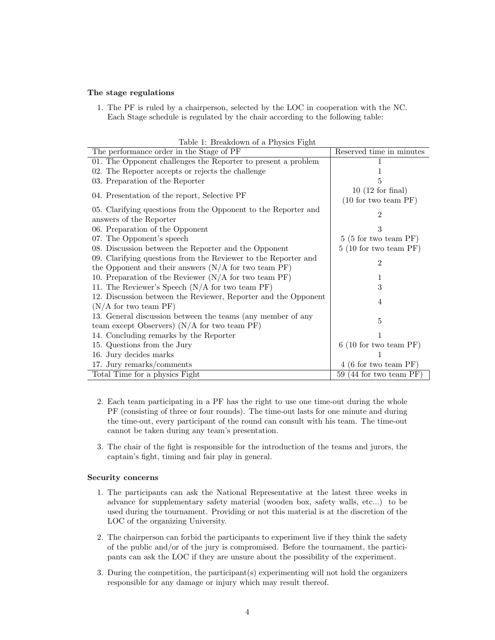## The stage regulations

1. The PF is ruled by a chairperson, selected by the LOC in cooperation with the NC. Each Stage schedule is regulated by the chair according to the following table:

| Table 1: Breakdown of a Physics Fight                          |                                |  |  |  |  |  |  |  |
|----------------------------------------------------------------|--------------------------------|--|--|--|--|--|--|--|
| The performance order in the Stage of PF                       | Reserved time in minutes       |  |  |  |  |  |  |  |
| 01. The Opponent challenges the Reporter to present a problem  |                                |  |  |  |  |  |  |  |
| 02. The Reporter accepts or rejects the challenge              |                                |  |  |  |  |  |  |  |
| 03. Preparation of the Reporter                                | 5                              |  |  |  |  |  |  |  |
|                                                                | $10(12 \text{ for final})$     |  |  |  |  |  |  |  |
| 04. Presentation of the report, Selective PF                   | (10 for two team PF)           |  |  |  |  |  |  |  |
| 05. Clarifying questions from the Opponent to the Reporter and | 2                              |  |  |  |  |  |  |  |
| answers of the Reporter                                        |                                |  |  |  |  |  |  |  |
| 06. Preparation of the Opponent                                | 3                              |  |  |  |  |  |  |  |
| 07. The Opponent's speech                                      | $5(5 \text{ for two team PF})$ |  |  |  |  |  |  |  |
| 08. Discussion between the Reporter and the Opponent           | 5(10 for two team PF)          |  |  |  |  |  |  |  |
| 09. Clarifying questions from the Reviewer to the Reporter and | 2                              |  |  |  |  |  |  |  |
| the Opponent and their answers $(N/A)$ for two team PF)        |                                |  |  |  |  |  |  |  |
| 10. Preparation of the Reviewer $(N/A)$ for two team PF)       |                                |  |  |  |  |  |  |  |
| 11. The Reviewer's Speech $(N/A)$ for two team PF)             | 3                              |  |  |  |  |  |  |  |
| 12. Discussion between the Reviewer, Reporter and the Opponent |                                |  |  |  |  |  |  |  |
| $(N/A)$ for two team PF)                                       | 4                              |  |  |  |  |  |  |  |
| 13. General discussion between the teams (any member of any    | 5                              |  |  |  |  |  |  |  |
| team except Observers) $(N/A)$ for two team PF)                |                                |  |  |  |  |  |  |  |
| 14. Concluding remarks by the Reporter                         |                                |  |  |  |  |  |  |  |
| 15. Questions from the Jury                                    | 6(10 for two team PF)          |  |  |  |  |  |  |  |
| 16. Jury decides marks                                         |                                |  |  |  |  |  |  |  |
| 17. Jury remarks/comments                                      | $4(6 \text{ for two team PF})$ |  |  |  |  |  |  |  |
| Total Time for a physics Fight                                 | 59 (44 for two team $PF$ )     |  |  |  |  |  |  |  |

 $T$ 

- 2. Each team participating in a PF has the right to use one time-out during the whole PF (consisting of three or four rounds). The time-out lasts for one minute and during the time-out, every participant of the round can consult with his team. The time-out cannot be taken during any team's presentation.
- 3. The chair of the fight is responsible for the introduction of the teams and jurors, the captain's fight, timing and fair play in general.

## Security concerns

- 1. The participants can ask the National Representative at the latest three weeks in advance for supplementary safety material (wooden box, safety walls, etc...) to be used during the tournament. Providing or not this material is at the discretion of the LOC of the organizing University.
- 2. The chairperson can forbid the participants to experiment live if they think the safety of the public and/or of the jury is compromised. Before the tournament, the participants can ask the LOC if they are unsure about the possibility of the experiment.
- 3. During the competition, the participant(s) experimenting will not hold the organizers responsible for any damage or injury which may result thereof.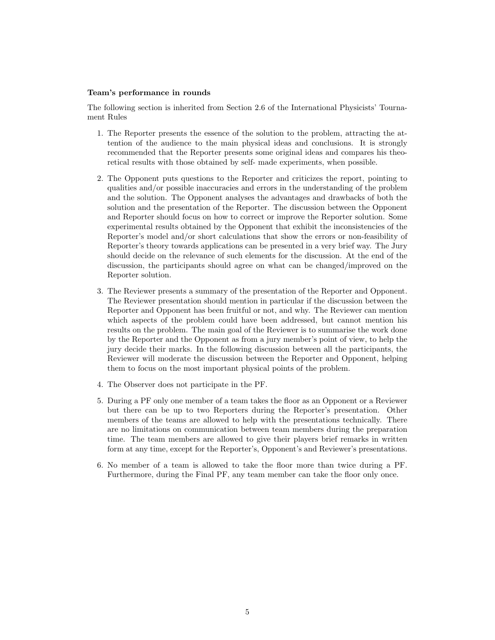### Team's performance in rounds

The following section is inherited from Section 2.6 of the International Physicists' Tournament Rules

- 1. The Reporter presents the essence of the solution to the problem, attracting the attention of the audience to the main physical ideas and conclusions. It is strongly recommended that the Reporter presents some original ideas and compares his theoretical results with those obtained by self- made experiments, when possible.
- 2. The Opponent puts questions to the Reporter and criticizes the report, pointing to qualities and/or possible inaccuracies and errors in the understanding of the problem and the solution. The Opponent analyses the advantages and drawbacks of both the solution and the presentation of the Reporter. The discussion between the Opponent and Reporter should focus on how to correct or improve the Reporter solution. Some experimental results obtained by the Opponent that exhibit the inconsistencies of the Reporter's model and/or short calculations that show the errors or non-feasibility of Reporter's theory towards applications can be presented in a very brief way. The Jury should decide on the relevance of such elements for the discussion. At the end of the discussion, the participants should agree on what can be changed/improved on the Reporter solution.
- 3. The Reviewer presents a summary of the presentation of the Reporter and Opponent. The Reviewer presentation should mention in particular if the discussion between the Reporter and Opponent has been fruitful or not, and why. The Reviewer can mention which aspects of the problem could have been addressed, but cannot mention his results on the problem. The main goal of the Reviewer is to summarise the work done by the Reporter and the Opponent as from a jury member's point of view, to help the jury decide their marks. In the following discussion between all the participants, the Reviewer will moderate the discussion between the Reporter and Opponent, helping them to focus on the most important physical points of the problem.
- 4. The Observer does not participate in the PF.
- 5. During a PF only one member of a team takes the floor as an Opponent or a Reviewer but there can be up to two Reporters during the Reporter's presentation. Other members of the teams are allowed to help with the presentations technically. There are no limitations on communication between team members during the preparation time. The team members are allowed to give their players brief remarks in written form at any time, except for the Reporter's, Opponent's and Reviewer's presentations.
- 6. No member of a team is allowed to take the floor more than twice during a PF. Furthermore, during the Final PF, any team member can take the floor only once.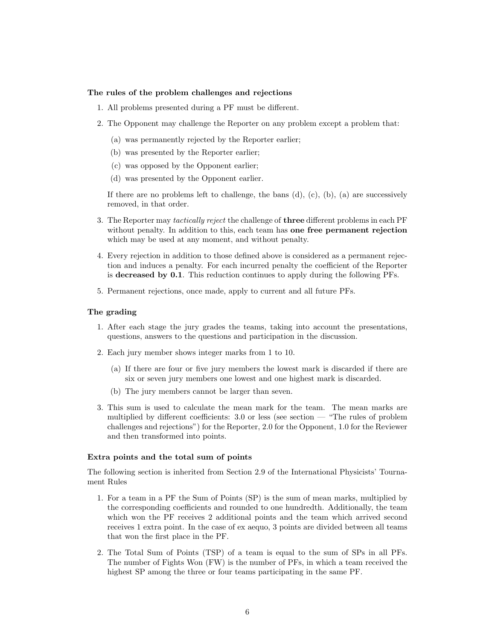#### The rules of the problem challenges and rejections

- 1. All problems presented during a PF must be different.
- 2. The Opponent may challenge the Reporter on any problem except a problem that:
	- (a) was permanently rejected by the Reporter earlier;
	- (b) was presented by the Reporter earlier;
	- (c) was opposed by the Opponent earlier;
	- (d) was presented by the Opponent earlier.

If there are no problems left to challenge, the bans  $(d)$ ,  $(c)$ ,  $(b)$ ,  $(a)$  are successively removed, in that order.

- 3. The Reporter may tactically reject the challenge of three different problems in each PF without penalty. In addition to this, each team has one free permanent rejection which may be used at any moment, and without penalty.
- 4. Every rejection in addition to those defined above is considered as a permanent rejection and induces a penalty. For each incurred penalty the coefficient of the Reporter is decreased by 0.1. This reduction continues to apply during the following PFs.
- 5. Permanent rejections, once made, apply to current and all future PFs.

### The grading

- 1. After each stage the jury grades the teams, taking into account the presentations, questions, answers to the questions and participation in the discussion.
- 2. Each jury member shows integer marks from 1 to 10.
	- (a) If there are four or five jury members the lowest mark is discarded if there are six or seven jury members one lowest and one highest mark is discarded.
	- (b) The jury members cannot be larger than seven.
- 3. This sum is used to calculate the mean mark for the team. The mean marks are multiplied by different coefficients: 3.0 or less (see section — "The rules of problem challenges and rejections") for the Reporter, 2.0 for the Opponent, 1.0 for the Reviewer and then transformed into points.

### Extra points and the total sum of points

The following section is inherited from Section 2.9 of the International Physicists' Tournament Rules

- 1. For a team in a PF the Sum of Points (SP) is the sum of mean marks, multiplied by the corresponding coefficients and rounded to one hundredth. Additionally, the team which won the PF receives 2 additional points and the team which arrived second receives 1 extra point. In the case of ex aequo, 3 points are divided between all teams that won the first place in the PF.
- 2. The Total Sum of Points (TSP) of a team is equal to the sum of SPs in all PFs. The number of Fights Won (FW) is the number of PFs, in which a team received the highest SP among the three or four teams participating in the same PF.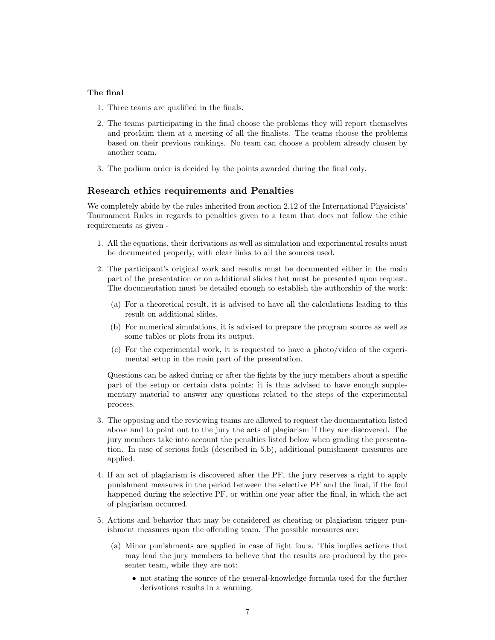## The final

- 1. Three teams are qualified in the finals.
- 2. The teams participating in the final choose the problems they will report themselves and proclaim them at a meeting of all the finalists. The teams choose the problems based on their previous rankings. No team can choose a problem already chosen by another team.
- 3. The podium order is decided by the points awarded during the final only.

## Research ethics requirements and Penalties

We completely abide by the rules inherited from section 2.12 of the International Physicists' Tournament Rules in regards to penalties given to a team that does not follow the ethic requirements as given -

- 1. All the equations, their derivations as well as simulation and experimental results must be documented properly, with clear links to all the sources used.
- 2. The participant's original work and results must be documented either in the main part of the presentation or on additional slides that must be presented upon request. The documentation must be detailed enough to establish the authorship of the work:
	- (a) For a theoretical result, it is advised to have all the calculations leading to this result on additional slides.
	- (b) For numerical simulations, it is advised to prepare the program source as well as some tables or plots from its output.
	- (c) For the experimental work, it is requested to have a photo/video of the experimental setup in the main part of the presentation.

Questions can be asked during or after the fights by the jury members about a specific part of the setup or certain data points; it is thus advised to have enough supplementary material to answer any questions related to the steps of the experimental process.

- 3. The opposing and the reviewing teams are allowed to request the documentation listed above and to point out to the jury the acts of plagiarism if they are discovered. The jury members take into account the penalties listed below when grading the presentation. In case of serious fouls (described in 5.b), additional punishment measures are applied.
- 4. If an act of plagiarism is discovered after the PF, the jury reserves a right to apply punishment measures in the period between the selective PF and the final, if the foul happened during the selective PF, or within one year after the final, in which the act of plagiarism occurred.
- 5. Actions and behavior that may be considered as cheating or plagiarism trigger punishment measures upon the offending team. The possible measures are:
	- (a) Minor punishments are applied in case of light fouls. This implies actions that may lead the jury members to believe that the results are produced by the presenter team, while they are not:
		- not stating the source of the general-knowledge formula used for the further derivations results in a warning.